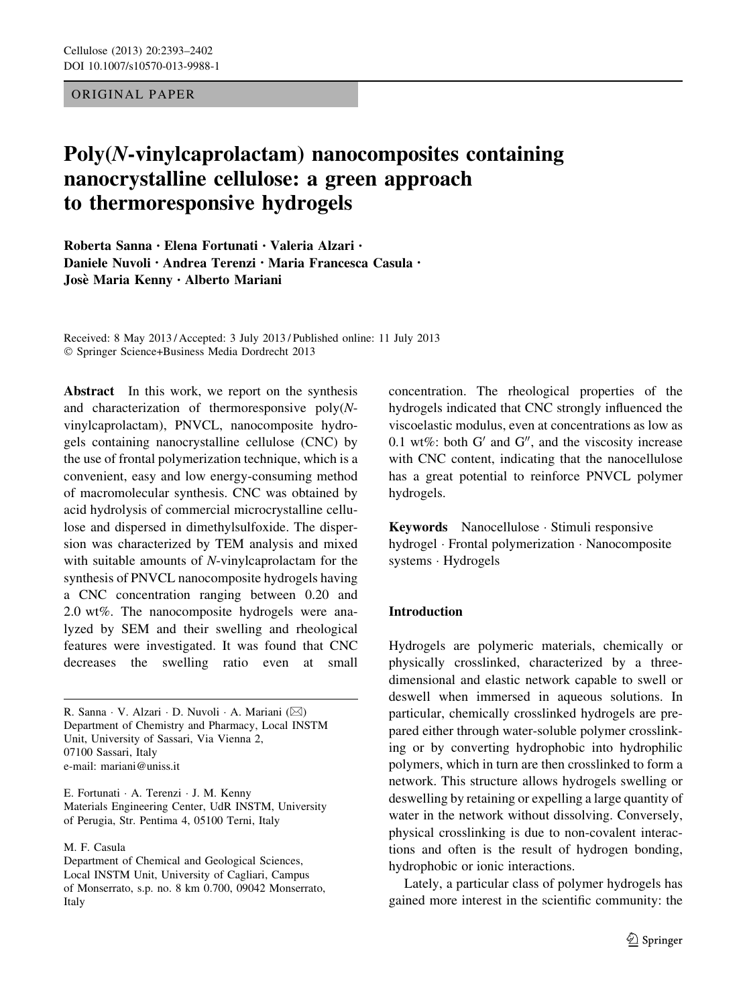ORIGINAL PAPER

# Poly(N-vinylcaprolactam) nanocomposites containing nanocrystalline cellulose: a green approach to thermoresponsive hydrogels

Roberta Sanna • Elena Fortunati • Valeria Alzari • Daniele Nuvoli • Andrea Terenzi • Maria Francesca Casula • Jose` Maria Kenny • Alberto Mariani

Received: 8 May 2013 / Accepted: 3 July 2013 / Published online: 11 July 2013 - Springer Science+Business Media Dordrecht 2013

Abstract In this work, we report on the synthesis and characterization of thermoresponsive poly(Nvinylcaprolactam), PNVCL, nanocomposite hydrogels containing nanocrystalline cellulose (CNC) by the use of frontal polymerization technique, which is a convenient, easy and low energy-consuming method of macromolecular synthesis. CNC was obtained by acid hydrolysis of commercial microcrystalline cellulose and dispersed in dimethylsulfoxide. The dispersion was characterized by TEM analysis and mixed with suitable amounts of N-vinylcaprolactam for the synthesis of PNVCL nanocomposite hydrogels having a CNC concentration ranging between 0.20 and 2.0 wt%. The nanocomposite hydrogels were analyzed by SEM and their swelling and rheological features were investigated. It was found that CNC decreases the swelling ratio even at small

R. Sanna · V. Alzari · D. Nuvoli · A. Mariani (⊠) Department of Chemistry and Pharmacy, Local INSTM Unit, University of Sassari, Via Vienna 2, 07100 Sassari, Italy e-mail: mariani@uniss.it

E. Fortunati - A. Terenzi - J. M. Kenny Materials Engineering Center, UdR INSTM, University of Perugia, Str. Pentima 4, 05100 Terni, Italy

M. F. Casula

Department of Chemical and Geological Sciences, Local INSTM Unit, University of Cagliari, Campus of Monserrato, s.p. no. 8 km 0.700, 09042 Monserrato, Italy

concentration. The rheological properties of the hydrogels indicated that CNC strongly influenced the viscoelastic modulus, even at concentrations as low as 0.1 wt%: both  $G'$  and  $G''$ , and the viscosity increase with CNC content, indicating that the nanocellulose has a great potential to reinforce PNVCL polymer hydrogels.

Keywords Nanocellulose - Stimuli responsive hydrogel - Frontal polymerization - Nanocomposite systems - Hydrogels

## Introduction

Hydrogels are polymeric materials, chemically or physically crosslinked, characterized by a threedimensional and elastic network capable to swell or deswell when immersed in aqueous solutions. In particular, chemically crosslinked hydrogels are prepared either through water-soluble polymer crosslinking or by converting hydrophobic into hydrophilic polymers, which in turn are then crosslinked to form a network. This structure allows hydrogels swelling or deswelling by retaining or expelling a large quantity of water in the network without dissolving. Conversely, physical crosslinking is due to non-covalent interactions and often is the result of hydrogen bonding, hydrophobic or ionic interactions.

Lately, a particular class of polymer hydrogels has gained more interest in the scientific community: the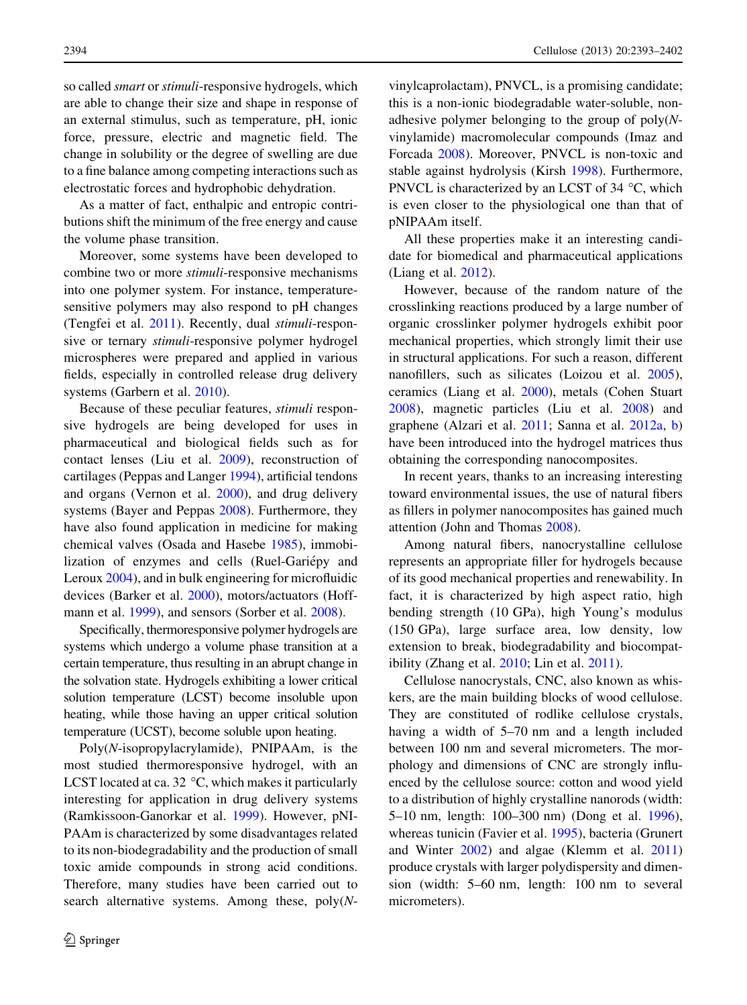so called smart or stimuli-responsive hydrogels, which are able to change their size and shape in response of an external stimulus, such as temperature, pH, ionic force, pressure, electric and magnetic field. The change in solubility or the degree of swelling are due to a fine balance among competing interactions such as electrostatic forces and hydrophobic dehydration.

As a matter of fact, enthalpic and entropic contributions shift the minimum of the free energy and cause the volume phase transition.

Moreover, some systems have been developed to combine two or more stimuli-responsive mechanisms into one polymer system. For instance, temperaturesensitive polymers may also respond to pH changes (Tengfei et al. [2011](#page-9-0)). Recently, dual stimuli-responsive or ternary *stimuli*-responsive polymer hydrogel microspheres were prepared and applied in various fields, especially in controlled release drug delivery systems (Garbern et al. [2010\)](#page-8-0).

Because of these peculiar features, stimuli responsive hydrogels are being developed for uses in pharmaceutical and biological fields such as for contact lenses (Liu et al. [2009](#page-8-0)), reconstruction of cartilages (Peppas and Langer [1994\)](#page-9-0), artificial tendons and organs (Vernon et al. [2000\)](#page-9-0), and drug delivery systems (Bayer and Peppas [2008\)](#page-7-0). Furthermore, they have also found application in medicine for making chemical valves (Osada and Hasebe [1985](#page-9-0)), immobilization of enzymes and cells (Ruel-Gariépy and Leroux [2004](#page-9-0)), and in bulk engineering for microfluidic devices (Barker et al. [2000\)](#page-7-0), motors/actuators (Hoffmann et al. [1999](#page-8-0)), and sensors (Sorber et al. [2008\)](#page-9-0).

Specifically, thermoresponsive polymer hydrogels are systems which undergo a volume phase transition at a certain temperature, thus resulting in an abrupt change in the solvation state. Hydrogels exhibiting a lower critical solution temperature (LCST) become insoluble upon heating, while those having an upper critical solution temperature (UCST), become soluble upon heating.

Poly(N-isopropylacrylamide), PNIPAAm, is the most studied thermoresponsive hydrogel, with an LCST located at ca. 32  $\degree$ C, which makes it particularly interesting for application in drug delivery systems (Ramkissoon-Ganorkar et al. [1999](#page-9-0)). However, pNI-PAAm is characterized by some disadvantages related to its non-biodegradability and the production of small toxic amide compounds in strong acid conditions. Therefore, many studies have been carried out to search alternative systems. Among these, poly(N- vinylcaprolactam), PNVCL, is a promising candidate; this is a non-ionic biodegradable water-soluble, nonadhesive polymer belonging to the group of  $poly(N$ vinylamide) macromolecular compounds (Imaz and Forcada [2008\)](#page-8-0). Moreover, PNVCL is non-toxic and stable against hydrolysis (Kirsh [1998](#page-8-0)). Furthermore, PNVCL is characterized by an LCST of 34  $\degree$ C, which is even closer to the physiological one than that of pNIPAAm itself.

All these properties make it an interesting candidate for biomedical and pharmaceutical applications (Liang et al. [2012\)](#page-8-0).

However, because of the random nature of the crosslinking reactions produced by a large number of organic crosslinker polymer hydrogels exhibit poor mechanical properties, which strongly limit their use in structural applications. For such a reason, different nanofillers, such as silicates (Loizou et al. [2005](#page-8-0)), ceramics (Liang et al. [2000\)](#page-8-0), metals (Cohen Stuart [2008\)](#page-7-0), magnetic particles (Liu et al. [2008\)](#page-8-0) and graphene (Alzari et al. [2011](#page-7-0); Sanna et al. [2012a,](#page-9-0) [b\)](#page-9-0) have been introduced into the hydrogel matrices thus obtaining the corresponding nanocomposites.

In recent years, thanks to an increasing interesting toward environmental issues, the use of natural fibers as fillers in polymer nanocomposites has gained much attention (John and Thomas [2008\)](#page-8-0).

Among natural fibers, nanocrystalline cellulose represents an appropriate filler for hydrogels because of its good mechanical properties and renewability. In fact, it is characterized by high aspect ratio, high bending strength (10 GPa), high Young's modulus (150 GPa), large surface area, low density, low extension to break, biodegradability and biocompatibility (Zhang et al. [2010;](#page-9-0) Lin et al. [2011\)](#page-8-0).

Cellulose nanocrystals, CNC, also known as whiskers, are the main building blocks of wood cellulose. They are constituted of rodlike cellulose crystals, having a width of 5–70 nm and a length included between 100 nm and several micrometers. The morphology and dimensions of CNC are strongly influenced by the cellulose source: cotton and wood yield to a distribution of highly crystalline nanorods (width: 5–10 nm, length: 100–300 nm) (Dong et al. [1996](#page-7-0)), whereas tunicin (Favier et al. [1995](#page-7-0)), bacteria (Grunert and Winter [2002](#page-8-0)) and algae (Klemm et al. [2011\)](#page-8-0) produce crystals with larger polydispersity and dimension (width: 5–60 nm, length: 100 nm to several micrometers).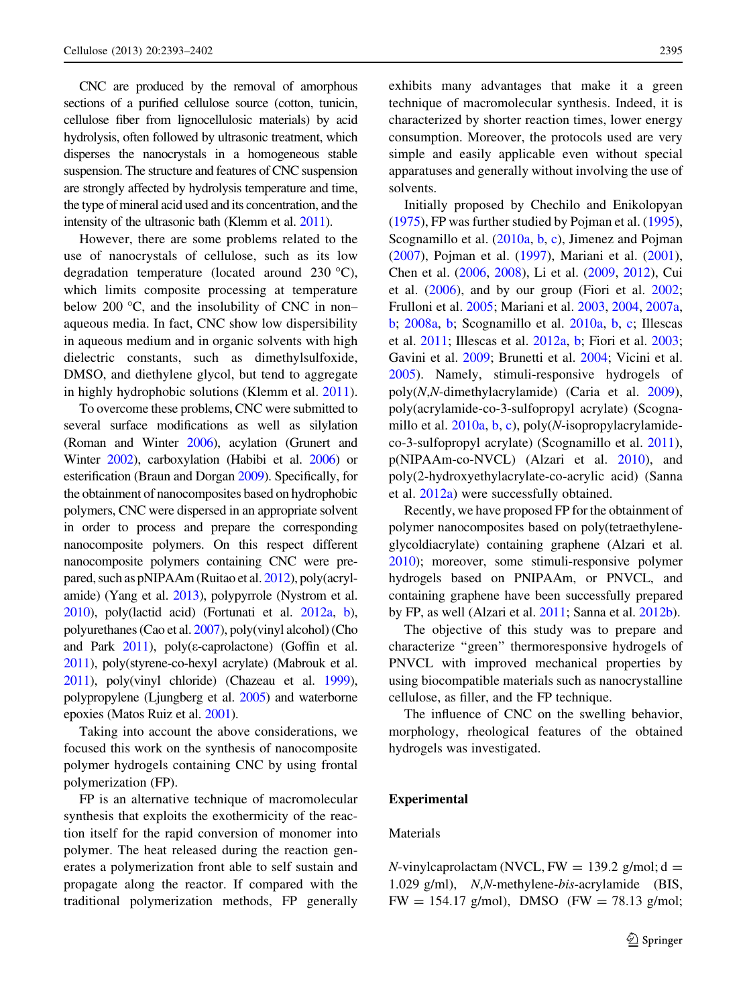CNC are produced by the removal of amorphous sections of a purified cellulose source (cotton, tunicin, cellulose fiber from lignocellulosic materials) by acid hydrolysis, often followed by ultrasonic treatment, which disperses the nanocrystals in a homogeneous stable suspension. The structure and features of CNC suspension are strongly affected by hydrolysis temperature and time, the type of mineral acid used and its concentration, and the intensity of the ultrasonic bath (Klemm et al. [2011\)](#page-8-0).

However, there are some problems related to the use of nanocrystals of cellulose, such as its low degradation temperature (located around 230  $^{\circ}$ C), which limits composite processing at temperature below 200 $\degree$ C, and the insolubility of CNC in non– aqueous media. In fact, CNC show low dispersibility in aqueous medium and in organic solvents with high dielectric constants, such as dimethylsulfoxide, DMSO, and diethylene glycol, but tend to aggregate in highly hydrophobic solutions (Klemm et al. [2011](#page-8-0)).

To overcome these problems, CNC were submitted to several surface modifications as well as silylation (Roman and Winter [2006](#page-9-0)), acylation (Grunert and Winter [2002\)](#page-8-0), carboxylation (Habibi et al. [2006\)](#page-8-0) or esterification (Braun and Dorgan [2009](#page-7-0)). Specifically, for the obtainment of nanocomposites based on hydrophobic polymers, CNC were dispersed in an appropriate solvent in order to process and prepare the corresponding nanocomposite polymers. On this respect different nanocomposite polymers containing CNC were prepared, such as pNIPAAm (Ruitao et al. [2012\)](#page-9-0), poly(acrylamide) (Yang et al. [2013\)](#page-9-0), polypyrrole (Nystrom et al. [2010\)](#page-9-0), poly(lactid acid) (Fortunati et al. [2012a,](#page-7-0) [b\)](#page-8-0), polyurethanes (Cao et al. [2007](#page-7-0)), poly(vinyl alcohol) (Cho and Park  $2011$ ), poly( $\varepsilon$ -caprolactone) (Goffin et al. [2011\)](#page-8-0), poly(styrene-co-hexyl acrylate) (Mabrouk et al. [2011\)](#page-8-0), poly(vinyl chloride) (Chazeau et al. [1999\)](#page-7-0), polypropylene (Ljungberg et al. [2005\)](#page-8-0) and waterborne epoxies (Matos Ruiz et al. [2001](#page-9-0)).

Taking into account the above considerations, we focused this work on the synthesis of nanocomposite polymer hydrogels containing CNC by using frontal polymerization (FP).

FP is an alternative technique of macromolecular synthesis that exploits the exothermicity of the reaction itself for the rapid conversion of monomer into polymer. The heat released during the reaction generates a polymerization front able to self sustain and propagate along the reactor. If compared with the traditional polymerization methods, FP generally

exhibits many advantages that make it a green technique of macromolecular synthesis. Indeed, it is characterized by shorter reaction times, lower energy consumption. Moreover, the protocols used are very simple and easily applicable even without special apparatuses and generally without involving the use of solvents.

Initially proposed by Chechilo and Enikolopyan [\(1975](#page-7-0)), FP was further studied by Pojman et al. ([1995](#page-9-0)), Scognamillo et al. [\(2010a,](#page-9-0) [b,](#page-9-0) [c](#page-9-0)), Jimenez and Pojman [\(2007](#page-8-0)), Pojman et al. ([1997\)](#page-9-0), Mariani et al. ([2001](#page-8-0)), Chen et al. [\(2006](#page-7-0), [2008](#page-7-0)), Li et al. ([2009,](#page-8-0) [2012\)](#page-8-0), Cui et al. [\(2006](#page-7-0)), and by our group (Fiori et al. [2002](#page-7-0); Frulloni et al. [2005;](#page-8-0) Mariani et al. [2003](#page-8-0), [2004](#page-8-0), [2007a,](#page-9-0) [b;](#page-9-0) [2008a,](#page-9-0) [b](#page-9-0); Scognamillo et al. [2010a,](#page-9-0) [b](#page-9-0), [c;](#page-9-0) Illescas et al. [2011](#page-8-0); Illescas et al. [2012a](#page-8-0), [b;](#page-8-0) Fiori et al. [2003](#page-7-0); Gavini et al. [2009](#page-8-0); Brunetti et al. [2004](#page-7-0); Vicini et al. [2005\)](#page-9-0). Namely, stimuli-responsive hydrogels of poly(N,N-dimethylacrylamide) (Caria et al. [2009](#page-7-0)), poly(acrylamide-co-3-sulfopropyl acrylate) (Scognamillo et al.  $2010a$ , [b,](#page-9-0) [c](#page-9-0)), poly(N-isopropylacrylamideco-3-sulfopropyl acrylate) (Scognamillo et al. [2011](#page-9-0)), p(NIPAAm-co-NVCL) (Alzari et al. [2010\)](#page-7-0), and poly(2-hydroxyethylacrylate-co-acrylic acid) (Sanna et al. [2012a\)](#page-9-0) were successfully obtained.

Recently, we have proposed FP for the obtainment of polymer nanocomposites based on poly(tetraethyleneglycoldiacrylate) containing graphene (Alzari et al. [2010](#page-7-0)); moreover, some stimuli-responsive polymer hydrogels based on PNIPAAm, or PNVCL, and containing graphene have been successfully prepared by FP, as well (Alzari et al. [2011;](#page-7-0) Sanna et al. [2012b\)](#page-9-0).

The objective of this study was to prepare and characterize ''green'' thermoresponsive hydrogels of PNVCL with improved mechanical properties by using biocompatible materials such as nanocrystalline cellulose, as filler, and the FP technique.

The influence of CNC on the swelling behavior, morphology, rheological features of the obtained hydrogels was investigated.

#### Experimental

## Materials

 $N$ -vinylcaprolactam (NVCL, FW = 139.2 g/mol; d = 1.029 g/ml), N,N-methylene-bis-acrylamide (BIS,  $FW = 154.17$  g/mol), DMSO (FW = 78.13 g/mol;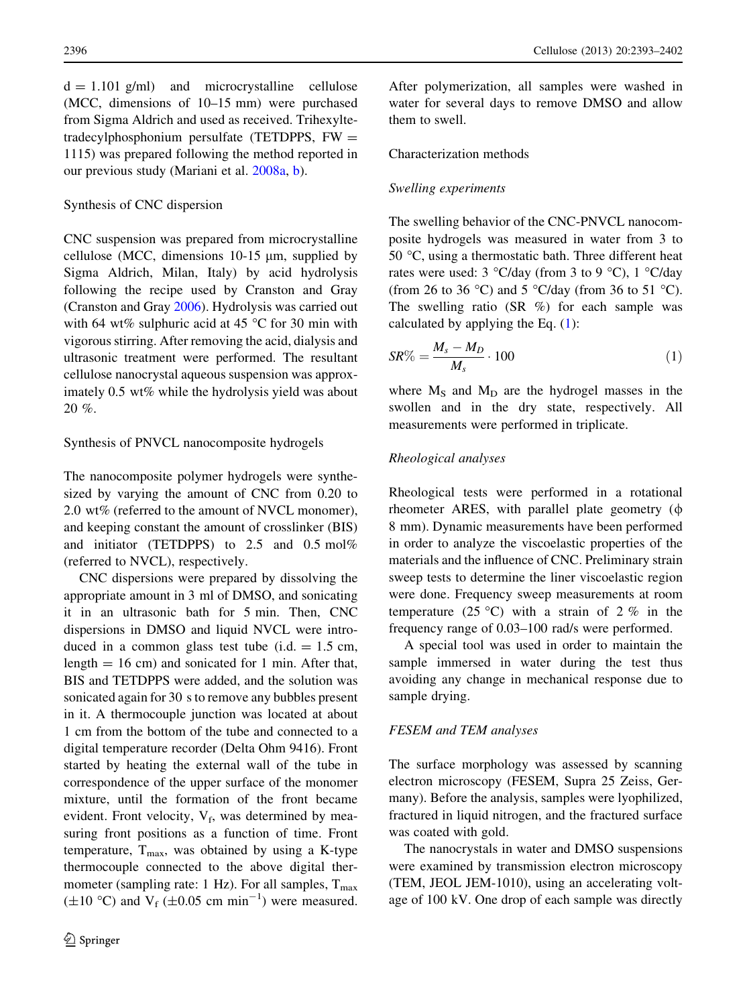$d = 1.101$  g/ml) and microcrystalline cellulose (MCC, dimensions of 10–15 mm) were purchased from Sigma Aldrich and used as received. Trihexyltetradecylphosphonium persulfate (TETDPPS,  $FW =$ 1115) was prepared following the method reported in our previous study (Mariani et al. [2008a](#page-9-0), [b\)](#page-9-0).

### Synthesis of CNC dispersion

CNC suspension was prepared from microcrystalline cellulose (MCC, dimensions  $10-15 \mu m$ , supplied by Sigma Aldrich, Milan, Italy) by acid hydrolysis following the recipe used by Cranston and Gray (Cranston and Gray [2006](#page-7-0)). Hydrolysis was carried out with 64 wt% sulphuric acid at 45  $\degree$ C for 30 min with vigorous stirring. After removing the acid, dialysis and ultrasonic treatment were performed. The resultant cellulose nanocrystal aqueous suspension was approximately 0.5 wt% while the hydrolysis yield was about 20 %.

#### Synthesis of PNVCL nanocomposite hydrogels

The nanocomposite polymer hydrogels were synthesized by varying the amount of CNC from 0.20 to 2.0 wt% (referred to the amount of NVCL monomer), and keeping constant the amount of crosslinker (BIS) and initiator (TETDPPS) to 2.5 and 0.5 mol% (referred to NVCL), respectively.

CNC dispersions were prepared by dissolving the appropriate amount in 3 ml of DMSO, and sonicating it in an ultrasonic bath for 5 min. Then, CNC dispersions in DMSO and liquid NVCL were introduced in a common glass test tube (i.d.  $= 1.5$  cm, length  $= 16$  cm) and sonicated for 1 min. After that, BIS and TETDPPS were added, and the solution was sonicated again for 30 s to remove any bubbles present in it. A thermocouple junction was located at about 1 cm from the bottom of the tube and connected to a digital temperature recorder (Delta Ohm 9416). Front started by heating the external wall of the tube in correspondence of the upper surface of the monomer mixture, until the formation of the front became evident. Front velocity,  $V_f$ , was determined by measuring front positions as a function of time. Front temperature,  $T_{\text{max}}$ , was obtained by using a K-type thermocouple connected to the above digital thermometer (sampling rate: 1 Hz). For all samples,  $T_{\text{max}}$  $(\pm 10 \degree C)$  and V<sub>f</sub> ( $\pm 0.05$  cm min<sup>-1</sup>) were measured.

After polymerization, all samples were washed in water for several days to remove DMSO and allow them to swell.

## Characterization methods

#### Swelling experiments

The swelling behavior of the CNC-PNVCL nanocomposite hydrogels was measured in water from 3 to 50  $\degree$ C, using a thermostatic bath. Three different heat rates were used:  $3 \text{ °C/day}$  (from 3 to 9  $\text{ °C}$ ),  $1 \text{ °C/day}$ (from 26 to 36 °C) and 5 °C/day (from 36 to 51 °C). The swelling ratio  $(SR \%)$  for each sample was calculated by applying the Eq.  $(1)$ :

$$
SR\% = \frac{M_s - M_D}{M_s} \cdot 100\tag{1}
$$

where  $M<sub>S</sub>$  and  $M<sub>D</sub>$  are the hydrogel masses in the swollen and in the dry state, respectively. All measurements were performed in triplicate.

#### Rheological analyses

Rheological tests were performed in a rotational rheometer ARES, with parallel plate geometry  $(\phi)$ 8 mm). Dynamic measurements have been performed in order to analyze the viscoelastic properties of the materials and the influence of CNC. Preliminary strain sweep tests to determine the liner viscoelastic region were done. Frequency sweep measurements at room temperature (25 °C) with a strain of 2 % in the frequency range of 0.03–100 rad/s were performed.

A special tool was used in order to maintain the sample immersed in water during the test thus avoiding any change in mechanical response due to sample drying.

#### FESEM and TEM analyses

The surface morphology was assessed by scanning electron microscopy (FESEM, Supra 25 Zeiss, Germany). Before the analysis, samples were lyophilized, fractured in liquid nitrogen, and the fractured surface was coated with gold.

The nanocrystals in water and DMSO suspensions were examined by transmission electron microscopy (TEM, JEOL JEM-1010), using an accelerating voltage of 100 kV. One drop of each sample was directly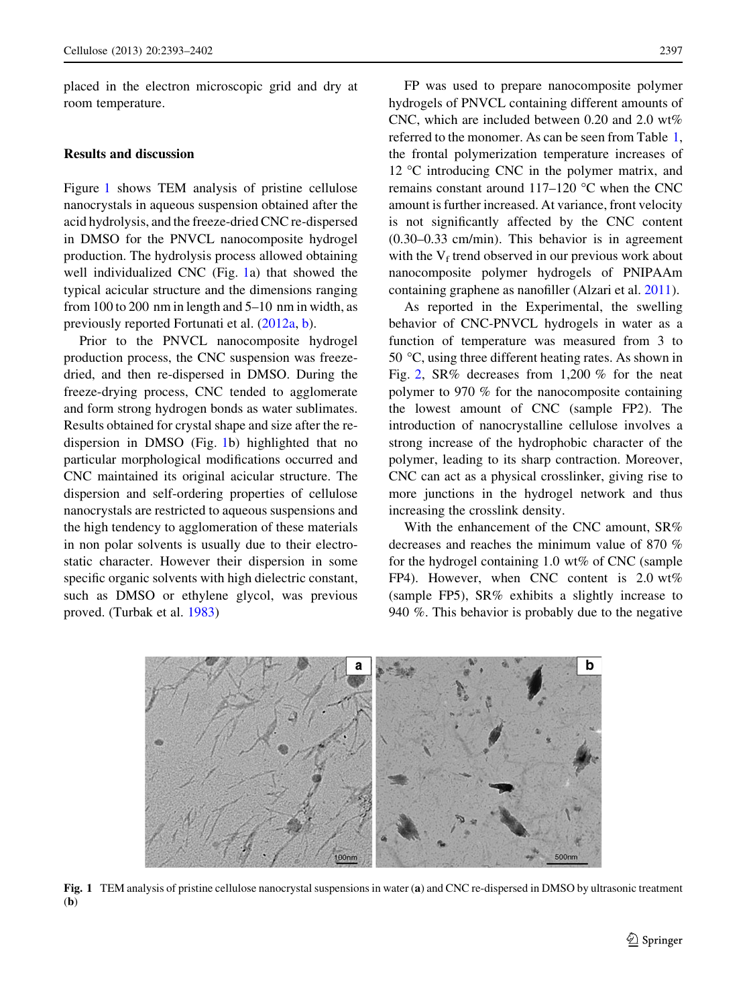placed in the electron microscopic grid and dry at room temperature.

## Results and discussion

Figure 1 shows TEM analysis of pristine cellulose nanocrystals in aqueous suspension obtained after the acid hydrolysis, and the freeze-dried CNC re-dispersed in DMSO for the PNVCL nanocomposite hydrogel production. The hydrolysis process allowed obtaining well individualized CNC (Fig. 1a) that showed the typical acicular structure and the dimensions ranging from 100 to 200 nm in length and 5–10 nm in width, as previously reported Fortunati et al. ([2012a](#page-7-0), [b](#page-8-0)).

Prior to the PNVCL nanocomposite hydrogel production process, the CNC suspension was freezedried, and then re-dispersed in DMSO. During the freeze-drying process, CNC tended to agglomerate and form strong hydrogen bonds as water sublimates. Results obtained for crystal shape and size after the redispersion in DMSO (Fig. 1b) highlighted that no particular morphological modifications occurred and CNC maintained its original acicular structure. The dispersion and self-ordering properties of cellulose nanocrystals are restricted to aqueous suspensions and the high tendency to agglomeration of these materials in non polar solvents is usually due to their electrostatic character. However their dispersion in some specific organic solvents with high dielectric constant, such as DMSO or ethylene glycol, was previous proved. (Turbak et al. [1983](#page-9-0))

FP was used to prepare nanocomposite polymer hydrogels of PNVCL containing different amounts of CNC, which are included between 0.20 and 2.0 wt% referred to the monomer. As can be seen from Table [1,](#page-5-0) the frontal polymerization temperature increases of 12  $\degree$ C introducing CNC in the polymer matrix, and remains constant around  $117-120$  °C when the CNC amount is further increased. At variance, front velocity is not significantly affected by the CNC content (0.30–0.33 cm/min). This behavior is in agreement with the  $V_f$  trend observed in our previous work about nanocomposite polymer hydrogels of PNIPAAm containing graphene as nanofiller (Alzari et al. [2011](#page-7-0)).

As reported in the Experimental, the swelling behavior of CNC-PNVCL hydrogels in water as a function of temperature was measured from 3 to 50  $\degree$ C, using three different heating rates. As shown in Fig. [2,](#page-5-0) SR% decreases from 1,200 % for the neat polymer to 970 % for the nanocomposite containing the lowest amount of CNC (sample FP2). The introduction of nanocrystalline cellulose involves a strong increase of the hydrophobic character of the polymer, leading to its sharp contraction. Moreover, CNC can act as a physical crosslinker, giving rise to more junctions in the hydrogel network and thus increasing the crosslink density.

With the enhancement of the CNC amount, SR% decreases and reaches the minimum value of 870 % for the hydrogel containing  $1.0 \text{ wt\%}$  of CNC (sample FP4). However, when CNC content is 2.0 wt% (sample FP5), SR% exhibits a slightly increase to 940 %. This behavior is probably due to the negative



Fig. 1 TEM analysis of pristine cellulose nanocrystal suspensions in water (a) and CNC re-dispersed in DMSO by ultrasonic treatment (b)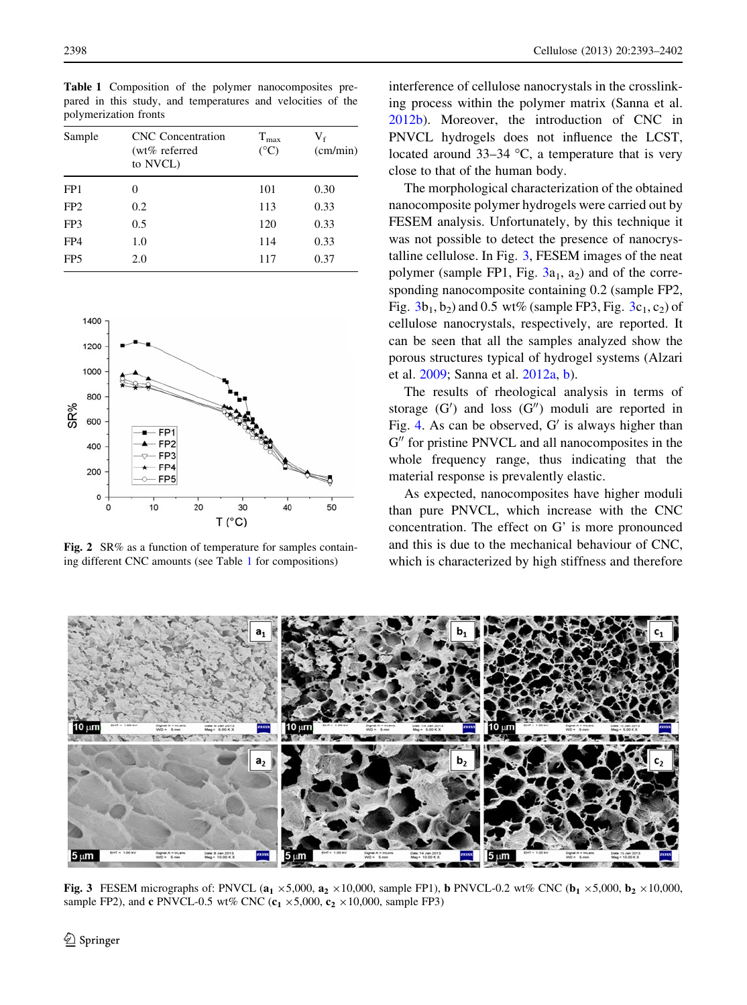| Sample          | <b>CNC</b> Concentration<br>(wt% referred<br>to NVCL) | $T_{\rm max}$<br>$(^{\circ}C)$ | $\rm V_{\rm f}$<br>(cm/min) |
|-----------------|-------------------------------------------------------|--------------------------------|-----------------------------|
| FP <sub>1</sub> | 0                                                     | 101                            | 0.30                        |
| FP <sub>2</sub> | 0.2                                                   | 113                            | 0.33                        |
| FP3             | 0.5                                                   | 120                            | 0.33                        |
| FP4             | 1.0                                                   | 114                            | 0.33                        |
| FP <sub>5</sub> | 2.0                                                   | 117                            | 0.37                        |

<span id="page-5-0"></span>Table 1 Composition of the polymer nanocomposites prepared in this study, and temperatures and velocities of the polymerization fronts



Fig. 2 SR% as a function of temperature for samples containing different CNC amounts (see Table 1 for compositions)

interference of cellulose nanocrystals in the crosslinking process within the polymer matrix (Sanna et al. [2012b\)](#page-9-0). Moreover, the introduction of CNC in PNVCL hydrogels does not influence the LCST, located around  $33-34$  °C, a temperature that is very close to that of the human body.

The morphological characterization of the obtained nanocomposite polymer hydrogels were carried out by FESEM analysis. Unfortunately, by this technique it was not possible to detect the presence of nanocrystalline cellulose. In Fig. 3, FESEM images of the neat polymer (sample FP1, Fig.  $3a_1$ ,  $a_2$ ) and of the corresponding nanocomposite containing 0.2 (sample FP2, Fig.  $3b_1$ ,  $b_2$ ) and 0.5 wt% (sample FP3, Fig.  $3c_1$ ,  $c_2$ ) of cellulose nanocrystals, respectively, are reported. It can be seen that all the samples analyzed show the porous structures typical of hydrogel systems (Alzari et al. [2009](#page-7-0); Sanna et al. [2012a](#page-9-0), [b\)](#page-9-0).

The results of rheological analysis in terms of storage  $(G')$  and loss  $(G'')$  moduli are reported in Fig. [4.](#page-6-0) As can be observed,  $G'$  is always higher than  $G''$  for pristine PNVCL and all nanocomposites in the whole frequency range, thus indicating that the material response is prevalently elastic.

As expected, nanocomposites have higher moduli than pure PNVCL, which increase with the CNC concentration. The effect on G' is more pronounced and this is due to the mechanical behaviour of CNC, which is characterized by high stiffness and therefore



Fig. 3 FESEM micrographs of: PNVCL ( $a_1 \times 5,000$ ,  $a_2 \times 10,000$ , sample FP1), b PNVCL-0.2 wt% CNC ( $b_1 \times 5,000$ ,  $b_2 \times 10,000$ , sample FP2), and c PNVCL-0.5 wt% CNC  $(c_1 \times 5,000, c_2 \times 10,000,$  sample FP3)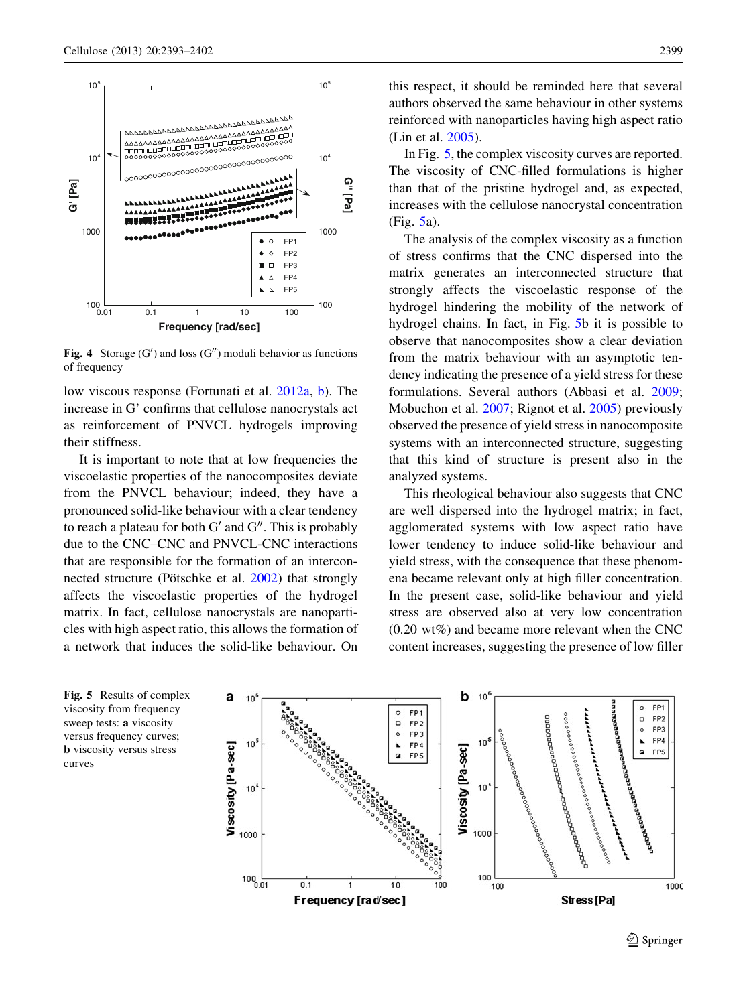<span id="page-6-0"></span>

Fig. 4 Storage  $(G')$  and loss  $(G'')$  moduli behavior as functions of frequency

low viscous response (Fortunati et al. [2012a,](#page-7-0) [b\)](#page-8-0). The increase in G' confirms that cellulose nanocrystals act as reinforcement of PNVCL hydrogels improving their stiffness.

It is important to note that at low frequencies the viscoelastic properties of the nanocomposites deviate from the PNVCL behaviour; indeed, they have a pronounced solid-like behaviour with a clear tendency to reach a plateau for both  $G'$  and  $G''$ . This is probably due to the CNC–CNC and PNVCL-CNC interactions that are responsible for the formation of an interconnected structure (Pötschke et al.  $2002$ ) that strongly affects the viscoelastic properties of the hydrogel matrix. In fact, cellulose nanocrystals are nanoparticles with high aspect ratio, this allows the formation of a network that induces the solid-like behaviour. On this respect, it should be reminded here that several authors observed the same behaviour in other systems reinforced with nanoparticles having high aspect ratio (Lin et al. [2005\)](#page-8-0).

In Fig. 5, the complex viscosity curves are reported. The viscosity of CNC-filled formulations is higher than that of the pristine hydrogel and, as expected, increases with the cellulose nanocrystal concentration (Fig. 5a).

The analysis of the complex viscosity as a function of stress confirms that the CNC dispersed into the matrix generates an interconnected structure that strongly affects the viscoelastic response of the hydrogel hindering the mobility of the network of hydrogel chains. In fact, in Fig. 5b it is possible to observe that nanocomposites show a clear deviation from the matrix behaviour with an asymptotic tendency indicating the presence of a yield stress for these formulations. Several authors (Abbasi et al. [2009](#page-7-0); Mobuchon et al. [2007;](#page-9-0) Rignot et al. [2005\)](#page-9-0) previously observed the presence of yield stress in nanocomposite systems with an interconnected structure, suggesting that this kind of structure is present also in the analyzed systems.

This rheological behaviour also suggests that CNC are well dispersed into the hydrogel matrix; in fact, agglomerated systems with low aspect ratio have lower tendency to induce solid-like behaviour and yield stress, with the consequence that these phenomena became relevant only at high filler concentration. In the present case, solid-like behaviour and yield stress are observed also at very low concentration  $(0.20 \text{ wt\%})$  and became more relevant when the CNC content increases, suggesting the presence of low filler



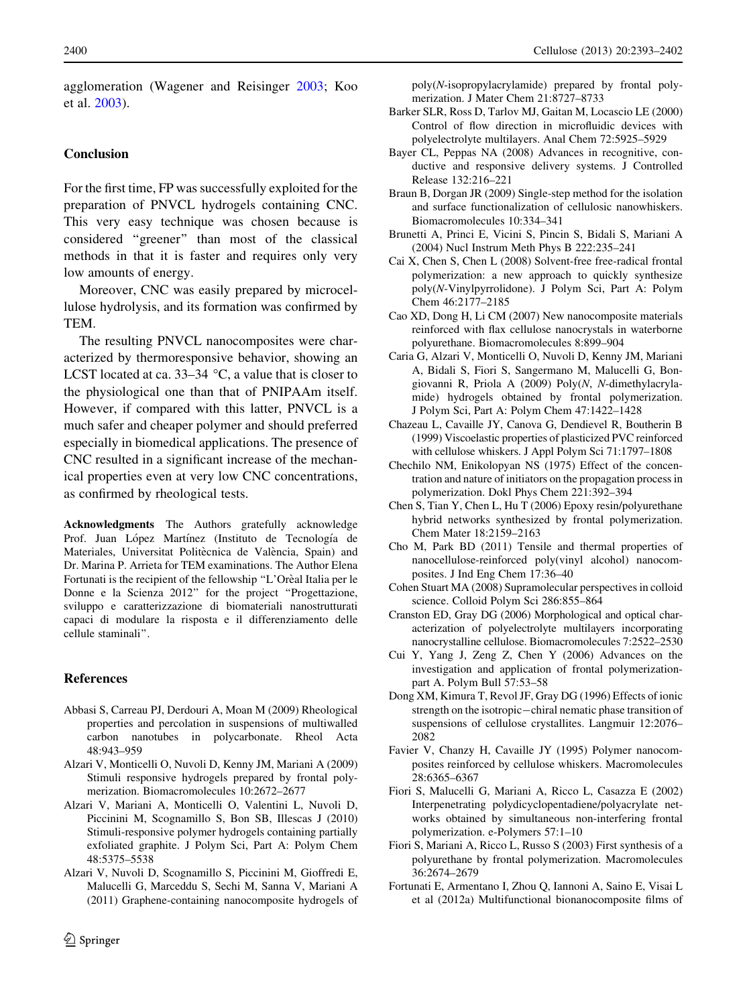<span id="page-7-0"></span>agglomeration (Wagener and Reisinger [2003](#page-9-0); Koo et al. [2003](#page-8-0)).

# Conclusion

For the first time, FP was successfully exploited for the preparation of PNVCL hydrogels containing CNC. This very easy technique was chosen because is considered ''greener'' than most of the classical methods in that it is faster and requires only very low amounts of energy.

Moreover, CNC was easily prepared by microcellulose hydrolysis, and its formation was confirmed by TEM.

The resulting PNVCL nanocomposites were characterized by thermoresponsive behavior, showing an LCST located at ca.  $33-34$  °C, a value that is closer to the physiological one than that of PNIPAAm itself. However, if compared with this latter, PNVCL is a much safer and cheaper polymer and should preferred especially in biomedical applications. The presence of CNC resulted in a significant increase of the mechanical properties even at very low CNC concentrations, as confirmed by rheological tests.

Acknowledgments The Authors gratefully acknowledge Prof. Juan López Martínez (Instituto de Tecnología de Materiales, Universitat Politècnica de València, Spain) and Dr. Marina P. Arrieta for TEM examinations. The Author Elena Fortunati is the recipient of the fellowship "L'Orèal Italia per le Donne e la Scienza 2012'' for the project ''Progettazione, sviluppo e caratterizzazione di biomateriali nanostrutturati capaci di modulare la risposta e il differenziamento delle cellule staminali''.

# References

- Abbasi S, Carreau PJ, Derdouri A, Moan M (2009) Rheological properties and percolation in suspensions of multiwalled carbon nanotubes in polycarbonate. Rheol Acta 48:943–959
- Alzari V, Monticelli O, Nuvoli D, Kenny JM, Mariani A (2009) Stimuli responsive hydrogels prepared by frontal polymerization. Biomacromolecules 10:2672–2677
- Alzari V, Mariani A, Monticelli O, Valentini L, Nuvoli D, Piccinini M, Scognamillo S, Bon SB, Illescas J (2010) Stimuli-responsive polymer hydrogels containing partially exfoliated graphite. J Polym Sci, Part A: Polym Chem 48:5375–5538
- Alzari V, Nuvoli D, Scognamillo S, Piccinini M, Gioffredi E, Malucelli G, Marceddu S, Sechi M, Sanna V, Mariani A (2011) Graphene-containing nanocomposite hydrogels of

poly(N-isopropylacrylamide) prepared by frontal polymerization. J Mater Chem 21:8727–8733

- Barker SLR, Ross D, Tarlov MJ, Gaitan M, Locascio LE (2000) Control of flow direction in microfluidic devices with polyelectrolyte multilayers. Anal Chem 72:5925–5929
- Bayer CL, Peppas NA (2008) Advances in recognitive, conductive and responsive delivery systems. J Controlled Release 132:216–221
- Braun B, Dorgan JR (2009) Single-step method for the isolation and surface functionalization of cellulosic nanowhiskers. Biomacromolecules 10:334–341
- Brunetti A, Princi E, Vicini S, Pincin S, Bidali S, Mariani A (2004) Nucl Instrum Meth Phys B 222:235–241
- Cai X, Chen S, Chen L (2008) Solvent-free free-radical frontal polymerization: a new approach to quickly synthesize poly(N-Vinylpyrrolidone). J Polym Sci, Part A: Polym Chem 46:2177–2185
- Cao XD, Dong H, Li CM (2007) New nanocomposite materials reinforced with flax cellulose nanocrystals in waterborne polyurethane. Biomacromolecules 8:899–904
- Caria G, Alzari V, Monticelli O, Nuvoli D, Kenny JM, Mariani A, Bidali S, Fiori S, Sangermano M, Malucelli G, Bongiovanni R, Priola A (2009) Poly(N, N-dimethylacrylamide) hydrogels obtained by frontal polymerization. J Polym Sci, Part A: Polym Chem 47:1422–1428
- Chazeau L, Cavaille JY, Canova G, Dendievel R, Boutherin B (1999) Viscoelastic properties of plasticized PVC reinforced with cellulose whiskers. J Appl Polym Sci 71:1797–1808
- Chechilo NM, Enikolopyan NS (1975) Effect of the concentration and nature of initiators on the propagation process in polymerization. Dokl Phys Chem 221:392–394
- Chen S, Tian Y, Chen L, Hu T (2006) Epoxy resin/polyurethane hybrid networks synthesized by frontal polymerization. Chem Mater 18:2159–2163
- Cho M, Park BD (2011) Tensile and thermal properties of nanocellulose-reinforced poly(vinyl alcohol) nanocomposites. J Ind Eng Chem 17:36–40
- Cohen Stuart MA (2008) Supramolecular perspectives in colloid science. Colloid Polym Sci 286:855–864
- Cranston ED, Gray DG (2006) Morphological and optical characterization of polyelectrolyte multilayers incorporating nanocrystalline cellulose. Biomacromolecules 7:2522–2530
- Cui Y, Yang J, Zeng Z, Chen Y (2006) Advances on the investigation and application of frontal polymerizationpart A. Polym Bull 57:53–58
- Dong XM, Kimura T, Revol JF, Gray DG (1996) Effects of ionic strength on the isotropic-chiral nematic phase transition of suspensions of cellulose crystallites. Langmuir 12:2076– 2082
- Favier V, Chanzy H, Cavaille JY (1995) Polymer nanocomposites reinforced by cellulose whiskers. Macromolecules 28:6365–6367
- Fiori S, Malucelli G, Mariani A, Ricco L, Casazza E (2002) Interpenetrating polydicyclopentadiene/polyacrylate networks obtained by simultaneous non-interfering frontal polymerization. e-Polymers 57:1–10
- Fiori S, Mariani A, Ricco L, Russo S (2003) First synthesis of a polyurethane by frontal polymerization. Macromolecules 36:2674–2679
- Fortunati E, Armentano I, Zhou Q, Iannoni A, Saino E, Visai L et al (2012a) Multifunctional bionanocomposite films of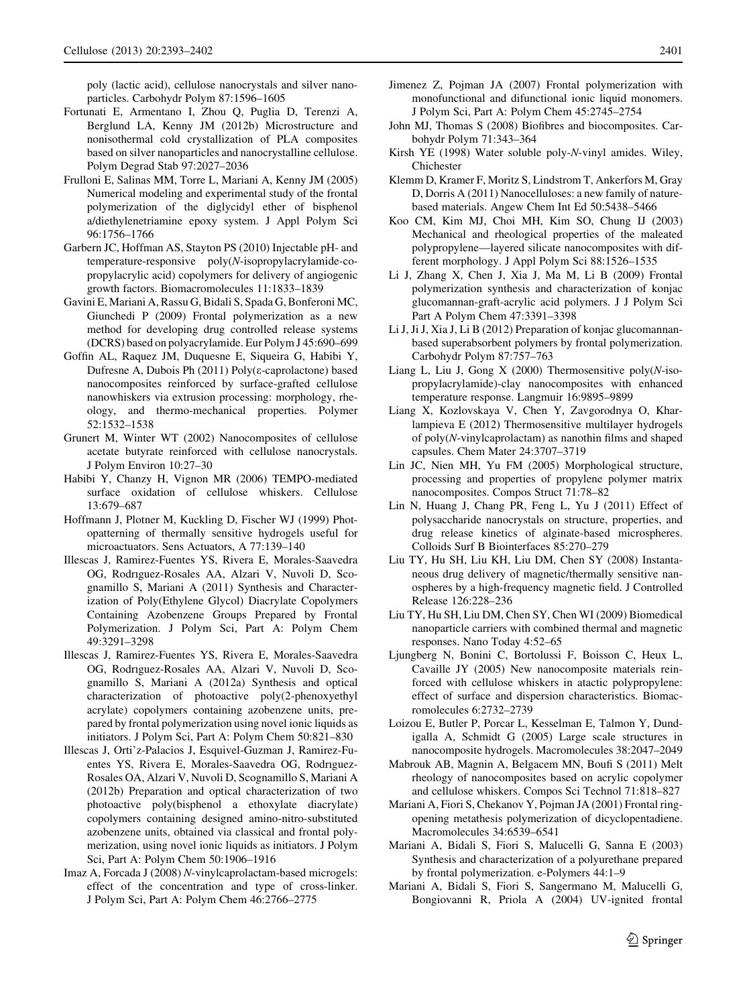<span id="page-8-0"></span>poly (lactic acid), cellulose nanocrystals and silver nanoparticles. Carbohydr Polym 87:1596–1605

- Fortunati E, Armentano I, Zhou Q, Puglia D, Terenzi A, Berglund LA, Kenny JM (2012b) Microstructure and nonisothermal cold crystallization of PLA composites based on silver nanoparticles and nanocrystalline cellulose. Polym Degrad Stab 97:2027–2036
- Frulloni E, Salinas MM, Torre L, Mariani A, Kenny JM (2005) Numerical modeling and experimental study of the frontal polymerization of the diglycidyl ether of bisphenol a/diethylenetriamine epoxy system. J Appl Polym Sci 96:1756–1766
- Garbern JC, Hoffman AS, Stayton PS (2010) Injectable pH- and temperature-responsive poly(N-isopropylacrylamide-copropylacrylic acid) copolymers for delivery of angiogenic growth factors. Biomacromolecules 11:1833–1839
- Gavini E, Mariani A, Rassu G, Bidali S, Spada G, Bonferoni MC, Giunchedi P (2009) Frontal polymerization as a new method for developing drug controlled release systems (DCRS) based on polyacrylamide. Eur Polym J 45:690–699
- Goffin AL, Raquez JM, Duquesne E, Siqueira G, Habibi Y, Dufresne A, Dubois Ph (2011) Poly(e-caprolactone) based nanocomposites reinforced by surface-grafted cellulose nanowhiskers via extrusion processing: morphology, rheology, and thermo-mechanical properties. Polymer 52:1532–1538
- Grunert M, Winter WT (2002) Nanocomposites of cellulose acetate butyrate reinforced with cellulose nanocrystals. J Polym Environ 10:27–30
- Habibi Y, Chanzy H, Vignon MR (2006) TEMPO-mediated surface oxidation of cellulose whiskers. Cellulose 13:679–687
- Hoffmann J, Plotner M, Kuckling D, Fischer WJ (1999) Photopatterning of thermally sensitive hydrogels useful for microactuators. Sens Actuators, A 77:139–140
- Illescas J, Ramirez-Fuentes YS, Rivera E, Morales-Saavedra OG, Rodrıguez-Rosales AA, Alzari V, Nuvoli D, Scognamillo S, Mariani A (2011) Synthesis and Characterization of Poly(Ethylene Glycol) Diacrylate Copolymers Containing Azobenzene Groups Prepared by Frontal Polymerization. J Polym Sci, Part A: Polym Chem 49:3291–3298
- Illescas J, Ramirez-Fuentes YS, Rivera E, Morales-Saavedra OG, Rodrıguez-Rosales AA, Alzari V, Nuvoli D, Scognamillo S, Mariani A (2012a) Synthesis and optical characterization of photoactive poly(2-phenoxyethyl acrylate) copolymers containing azobenzene units, prepared by frontal polymerization using novel ionic liquids as initiators. J Polym Sci, Part A: Polym Chem 50:821–830
- Illescas J, Orti'z-Palacios J, Esquivel-Guzman J, Ramirez-Fuentes YS, Rivera E, Morales-Saavedra OG, Rodrıguez-Rosales OA, Alzari V, Nuvoli D, Scognamillo S, Mariani A (2012b) Preparation and optical characterization of two photoactive poly(bisphenol a ethoxylate diacrylate) copolymers containing designed amino-nitro-substituted azobenzene units, obtained via classical and frontal polymerization, using novel ionic liquids as initiators. J Polym Sci, Part A: Polym Chem 50:1906–1916
- Imaz A, Forcada J (2008) N-vinylcaprolactam-based microgels: effect of the concentration and type of cross-linker. J Polym Sci, Part A: Polym Chem 46:2766–2775
- Jimenez Z, Pojman JA (2007) Frontal polymerization with monofunctional and difunctional ionic liquid monomers. J Polym Sci, Part A: Polym Chem 45:2745–2754
- John MJ, Thomas S (2008) Biofibres and biocomposites. Carbohydr Polym 71:343–364
- Kirsh YE (1998) Water soluble poly-N-vinyl amides. Wiley, Chichester
- Klemm D, Kramer F, Moritz S, Lindstrom T, Ankerfors M, Gray D, Dorris A (2011) Nanocelluloses: a new family of naturebased materials. Angew Chem Int Ed 50:5438–5466
- Koo CM, Kim MJ, Choi MH, Kim SO, Chung IJ (2003) Mechanical and rheological properties of the maleated polypropylene—layered silicate nanocomposites with different morphology. J Appl Polym Sci 88:1526–1535
- Li J, Zhang X, Chen J, Xia J, Ma M, Li B (2009) Frontal polymerization synthesis and characterization of konjac glucomannan-graft-acrylic acid polymers. J J Polym Sci Part A Polym Chem 47:3391–3398
- Li J, Ji J, Xia J, Li B (2012) Preparation of konjac glucomannanbased superabsorbent polymers by frontal polymerization. Carbohydr Polym 87:757–763
- Liang L, Liu J, Gong X (2000) Thermosensitive poly( $N$ -isopropylacrylamide)-clay nanocomposites with enhanced temperature response. Langmuir 16:9895–9899
- Liang X, Kozlovskaya V, Chen Y, Zavgorodnya O, Kharlampieva E (2012) Thermosensitive multilayer hydrogels of poly(N-vinylcaprolactam) as nanothin films and shaped capsules. Chem Mater 24:3707–3719
- Lin JC, Nien MH, Yu FM (2005) Morphological structure, processing and properties of propylene polymer matrix nanocomposites. Compos Struct 71:78–82
- Lin N, Huang J, Chang PR, Feng L, Yu J (2011) Effect of polysaccharide nanocrystals on structure, properties, and drug release kinetics of alginate-based microspheres. Colloids Surf B Biointerfaces 85:270–279
- Liu TY, Hu SH, Liu KH, Liu DM, Chen SY (2008) Instantaneous drug delivery of magnetic/thermally sensitive nanospheres by a high-frequency magnetic field. J Controlled Release 126:228–236
- Liu TY, Hu SH, Liu DM, Chen SY, Chen WI (2009) Biomedical nanoparticle carriers with combined thermal and magnetic responses. Nano Today 4:52–65
- Ljungberg N, Bonini C, Bortolussi F, Boisson C, Heux L, Cavaille JY (2005) New nanocomposite materials reinforced with cellulose whiskers in atactic polypropylene: effect of surface and dispersion characteristics. Biomacromolecules 6:2732–2739
- Loizou E, Butler P, Porcar L, Kesselman E, Talmon Y, Dundigalla A, Schmidt G (2005) Large scale structures in nanocomposite hydrogels. Macromolecules 38:2047–2049
- Mabrouk AB, Magnin A, Belgacem MN, Boufi S (2011) Melt rheology of nanocomposites based on acrylic copolymer and cellulose whiskers. Compos Sci Technol 71:818–827
- Mariani A, Fiori S, Chekanov Y, Pojman JA (2001) Frontal ringopening metathesis polymerization of dicyclopentadiene. Macromolecules 34:6539–6541
- Mariani A, Bidali S, Fiori S, Malucelli G, Sanna E (2003) Synthesis and characterization of a polyurethane prepared by frontal polymerization. e-Polymers 44:1–9
- Mariani A, Bidali S, Fiori S, Sangermano M, Malucelli G, Bongiovanni R, Priola A (2004) UV-ignited frontal